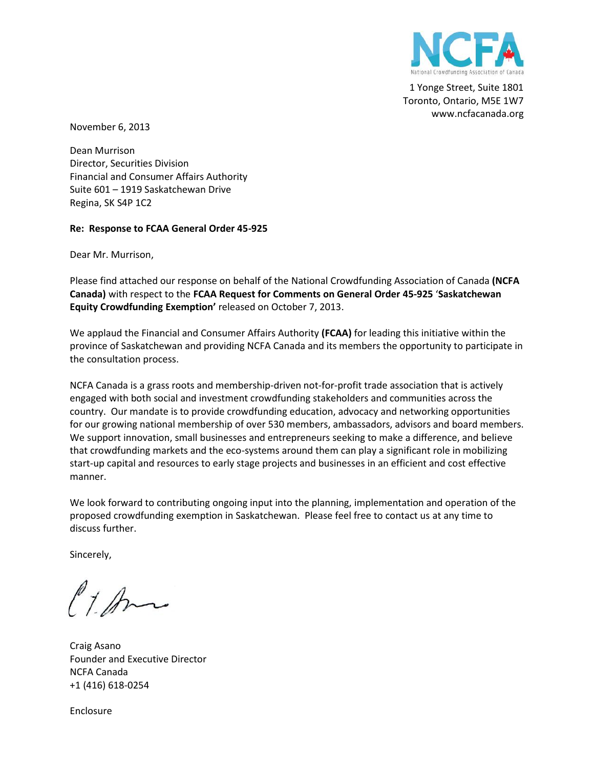

1 Yonge Street, Suite 1801 Toronto, Ontario, M5E 1W7 www.ncfacanada.org

November 6, 2013

Dean Murrison Director, Securities Division Financial and Consumer Affairs Authority Suite 601 – 1919 Saskatchewan Drive Regina, SK S4P 1C2

#### **Re: Response to FCAA General Order 45-925**

Dear Mr. Murrison,

Please find attached our response on behalf of the National Crowdfunding Association of Canada **(NCFA Canada)** with respect to the **FCAA Request for Comments on General Order 45-925** '**Saskatchewan Equity Crowdfunding Exemption'** released on October 7, 2013.

We applaud the Financial and Consumer Affairs Authority **(FCAA)** for leading this initiative within the province of Saskatchewan and providing NCFA Canada and its members the opportunity to participate in the consultation process.

NCFA Canada is a grass roots and membership-driven not-for-profit trade association that is actively engaged with both social and investment crowdfunding stakeholders and communities across the country. Our mandate is to provide crowdfunding education, advocacy and networking opportunities for our growing national membership of over 530 members, ambassadors, advisors and board members. We support innovation, small businesses and entrepreneurs seeking to make a difference, and believe that crowdfunding markets and the eco-systems around them can play a significant role in mobilizing start-up capital and resources to early stage projects and businesses in an efficient and cost effective manner.

We look forward to contributing ongoing input into the planning, implementation and operation of the proposed crowdfunding exemption in Saskatchewan. Please feel free to contact us at any time to discuss further.

Sincerely,

Ct. Am

Craig Asano Founder and Executive Director NCFA Canada +1 (416) 618-0254

Enclosure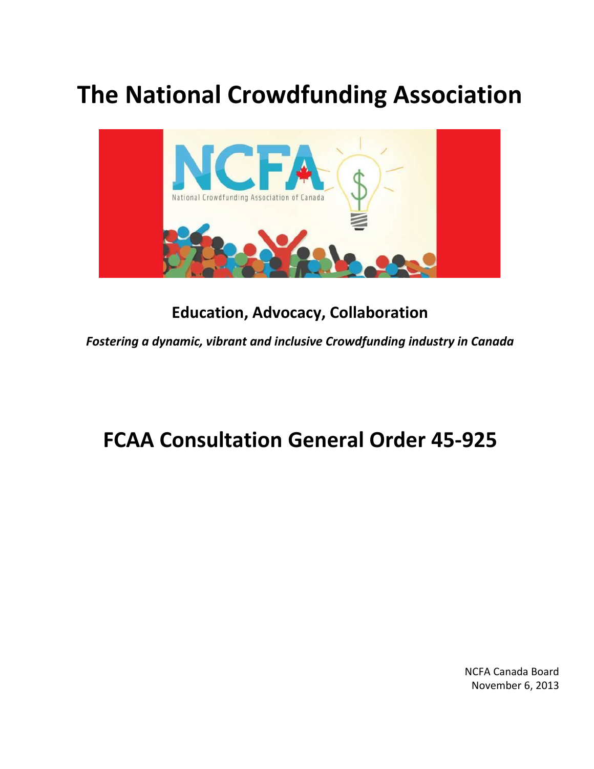# **The National Crowdfunding Association**



## **Education, Advocacy, Collaboration**

*Fostering a dynamic, vibrant and inclusive Crowdfunding industry in Canada*

## **FCAA Consultation General Order 45-925**

NCFA Canada Board November 6, 2013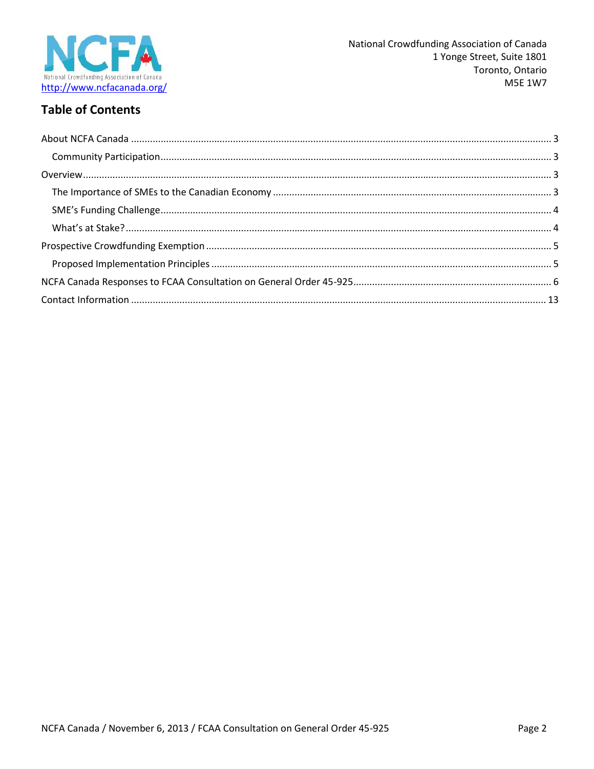

## **Table of Contents**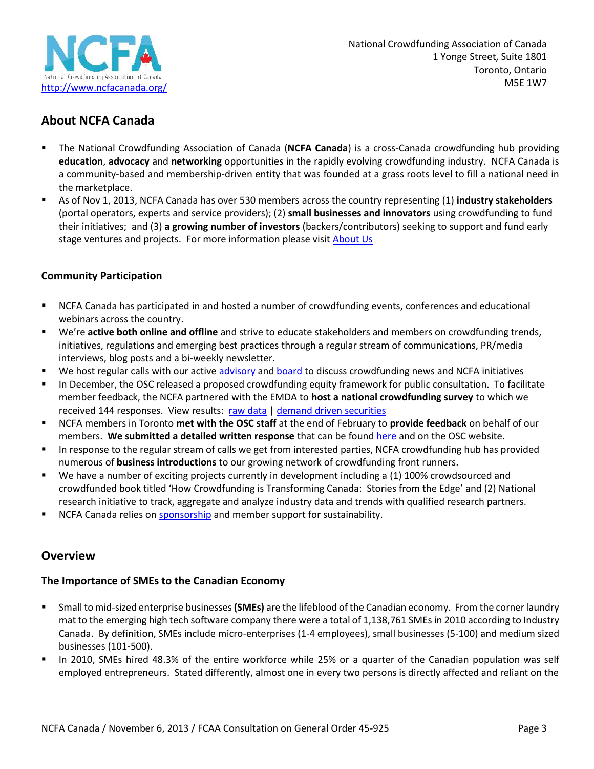

National Crowdfunding Association of Canada 1 Yonge Street, Suite 1801 Toronto, Ontario M5E 1W7

## **About NCFA Canada**

- The National Crowdfunding Association of Canada (**NCFA Canada**) is a cross-Canada crowdfunding hub providing **education**, **advocacy** and **networking** opportunities in the rapidly evolving crowdfunding industry. NCFA Canada is a community-based and membership-driven entity that was founded at a grass roots level to fill a national need in the marketplace.
- As of Nov 1, 2013, NCFA Canada has over 530 members across the country representing (1) **industry stakeholders** (portal operators, experts and service providers); (2) **small businesses and innovators** using crowdfunding to fund their initiatives; and (3) **a growing number of investors** (backers/contributors) seeking to support and fund early stage ventures and projects. For more information please visit **About Us**

#### **Community Participation**

- NCFA Canada has participated in and hosted a number of crowdfunding events, conferences and educational webinars across the country.
- We're **active both online and offline** and strive to educate stakeholders and members on crowdfunding trends, initiatives, regulations and emerging best practices through a regular stream of communications, PR/media interviews, blog posts and a bi-weekly newsletter.
- **We host regular calls with our active advisory and board to discuss crowdfunding news and NCFA initiatives**
- In December, the OSC released a proposed crowdfunding equity framework for public consultation. To facilitate member feedback, the NCFA partnered with the EMDA to **host a national crowdfunding survey** to which we received 144 responses. View results: raw data | demand driven securities
- NCFA members in Toronto **met with the OSC staff** at the end of February to **provide feedback** on behalf of our members. **We submitted a detailed written response** that can be found here and on the OSC website.
- In response to the regular stream of calls we get from interested parties, NCFA crowdfunding hub has provided numerous of **business introductions** to our growing network of crowdfunding front runners.
- We have a number of exciting projects currently in development including a (1) 100% crowdsourced and crowdfunded book titled 'How Crowdfunding is Transforming Canada: Stories from the Edge' and (2) National research initiative to track, aggregate and analyze industry data and trends with qualified research partners.
- **NCFA Canada relies on sponsorship and member support for sustainability.**

### **Overview**

#### **The Importance of SMEs to the Canadian Economy**

- Small to mid-sized enterprise businesses**(SMEs)** are the lifeblood of the Canadian economy. From the corner laundry mat to the emerging high tech software company there were a total of 1,138,761 SMEs in 2010 according to Industry Canada. By definition, SMEs include micro-enterprises (1-4 employees), small businesses (5-100) and medium sized businesses (101-500).
- In 2010, SMEs hired 48.3% of the entire workforce while 25% or a quarter of the Canadian population was self employed entrepreneurs. Stated differently, almost one in every two persons is directly affected and reliant on the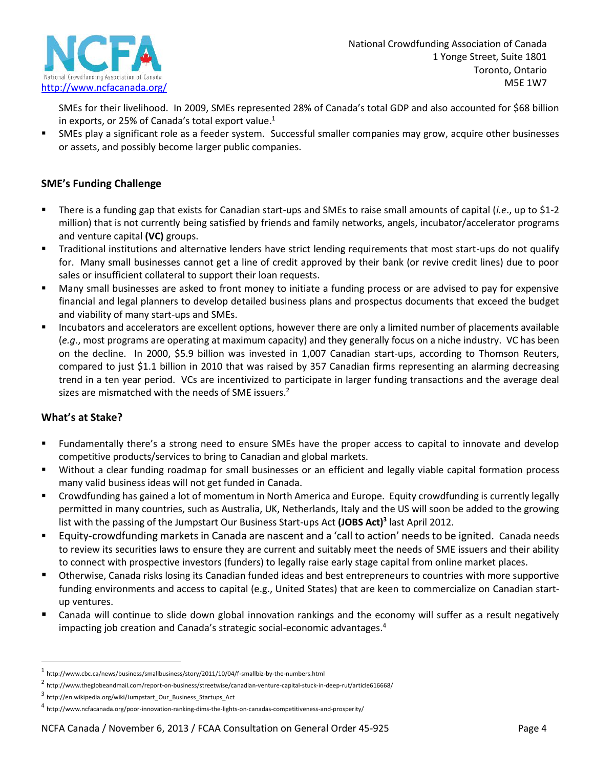

SMEs for their livelihood. In 2009, SMEs represented 28% of Canada's total GDP and also accounted for \$68 billion in exports, or 25% of Canada's total export value.<sup>1</sup>

 SMEs play a significant role as a feeder system. Successful smaller companies may grow, acquire other businesses or assets, and possibly become larger public companies.

#### **SME's Funding Challenge**

- There is a funding gap that exists for Canadian start-ups and SMEs to raise small amounts of capital (*i.e*., up to \$1-2 million) that is not currently being satisfied by friends and family networks, angels, incubator/accelerator programs and venture capital **(VC)** groups.
- Traditional institutions and alternative lenders have strict lending requirements that most start-ups do not qualify for. Many small businesses cannot get a line of credit approved by their bank (or revive credit lines) due to poor sales or insufficient collateral to support their loan requests.
- Many small businesses are asked to front money to initiate a funding process or are advised to pay for expensive financial and legal planners to develop detailed business plans and prospectus documents that exceed the budget and viability of many start-ups and SMEs.
- Incubators and accelerators are excellent options, however there are only a limited number of placements available (*e.g*., most programs are operating at maximum capacity) and they generally focus on a niche industry. VC has been on the decline. In 2000, \$5.9 billion was invested in 1,007 Canadian start-ups, according to Thomson Reuters, compared to just \$1.1 billion in 2010 that was raised by 357 Canadian firms representing an alarming decreasing trend in a ten year period. VCs are incentivized to participate in larger funding transactions and the average deal sizes are mismatched with the needs of SME issuers.<sup>2</sup>

### **What's at Stake?**

- Fundamentally there's a strong need to ensure SMEs have the proper access to capital to innovate and develop competitive products/services to bring to Canadian and global markets.
- Without a clear funding roadmap for small businesses or an efficient and legally viable capital formation process many valid business ideas will not get funded in Canada.
- Crowdfunding has gained a lot of momentum in North America and Europe. Equity crowdfunding is currently legally permitted in many countries, such as Australia, UK, Netherlands, Italy and the US will soon be added to the growing list with the passing of the Jumpstart Our Business Start-ups Act **(JOBS Act)<sup>3</sup>** last April 2012.
- Equity-crowdfunding markets in Canada are nascent and a 'call to action' needs to be ignited. Canada needs to review its securities laws to ensure they are current and suitably meet the needs of SME issuers and their ability to connect with prospective investors (funders) to legally raise early stage capital from online market places.
- **Deta Constanal** 1 Otherwise, Canada risks losing its Canadian funded ideas and best entrepreneurs to countries with more supportive funding environments and access to capital (e.g., United States) that are keen to commercialize on Canadian start up ventures.
- Canada will continue to slide down global innovation rankings and the economy will suffer as a result negatively impacting job creation and Canada's strategic social-economic advantages.<sup>4</sup>

 $^{\rm 1}$ http://www.cbc.ca/news/business/smallbusiness/story/2011/10/04/f-smallbiz-by-the-numbers.html

<sup>2</sup> http://www.theglobeandmail.com/report-on-business/streetwise/canadian-venture-capital-stuck-in-deep-rut/article616668/

<sup>3</sup> http://en.wikipedia.org/wiki/Jumpstart\_Our\_Business\_Startups\_Act

<sup>4</sup> http://www.ncfacanada.org/poor-innovation-ranking-dims-the-lights-on-canadas-competitiveness-and-prosperity/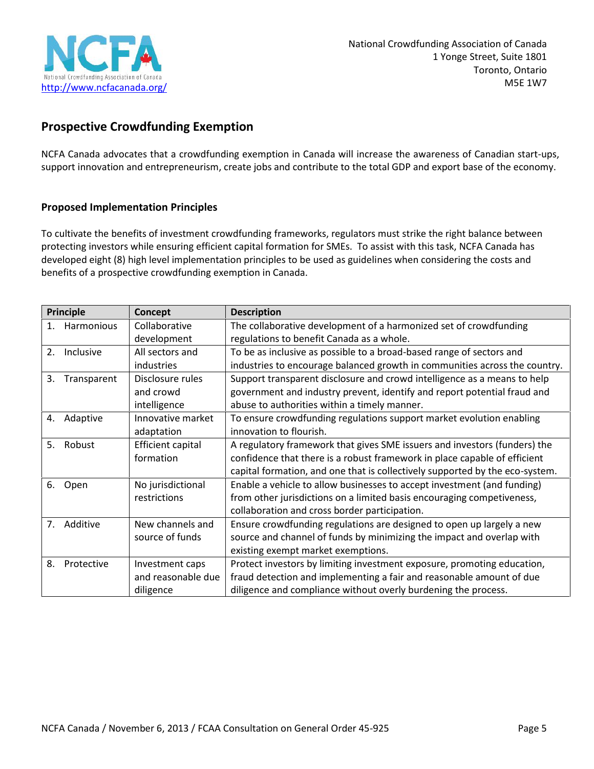

## **Prospective Crowdfunding Exemption**

NCFA Canada advocates that a crowdfunding exemption in Canada will increase the awareness of Canadian start-ups, support innovation and entrepreneurism, create jobs and contribute to the total GDP and export base of the economy.

#### **Proposed Implementation Principles**

To cultivate the benefits of investment crowdfunding frameworks, regulators must strike the right balance between protecting investors while ensuring efficient capital formation for SMEs. To assist with this task, NCFA Canada has developed eight (8) high level implementation principles to be used as guidelines when considering the costs and benefits of a prospective crowdfunding exemption in Canada.

| Principle                       |             | Concept                  | <b>Description</b>                                                           |
|---------------------------------|-------------|--------------------------|------------------------------------------------------------------------------|
| 1.                              | Harmonious  | Collaborative            | The collaborative development of a harmonized set of crowdfunding            |
|                                 |             | development              | regulations to benefit Canada as a whole.                                    |
| 2.                              | Inclusive   | All sectors and          | To be as inclusive as possible to a broad-based range of sectors and         |
|                                 |             | industries               | industries to encourage balanced growth in communities across the country.   |
| 3.                              | Transparent | Disclosure rules         | Support transparent disclosure and crowd intelligence as a means to help     |
|                                 |             | and crowd                | government and industry prevent, identify and report potential fraud and     |
|                                 |             | intelligence             | abuse to authorities within a timely manner.                                 |
| 4.                              | Adaptive    | Innovative market        | To ensure crowdfunding regulations support market evolution enabling         |
|                                 |             | adaptation               | innovation to flourish.                                                      |
| 5.                              | Robust      | <b>Efficient capital</b> | A regulatory framework that gives SME issuers and investors (funders) the    |
|                                 |             | formation                | confidence that there is a robust framework in place capable of efficient    |
|                                 |             |                          | capital formation, and one that is collectively supported by the eco-system. |
| No jurisdictional<br>6.<br>Open |             |                          | Enable a vehicle to allow businesses to accept investment (and funding)      |
|                                 |             | restrictions             | from other jurisdictions on a limited basis encouraging competiveness,       |
|                                 |             |                          | collaboration and cross border participation.                                |
| 7.                              | Additive    | New channels and         | Ensure crowdfunding regulations are designed to open up largely a new        |
|                                 |             | source of funds          | source and channel of funds by minimizing the impact and overlap with        |
|                                 |             |                          | existing exempt market exemptions.                                           |
| 8.                              | Protective  | Investment caps          | Protect investors by limiting investment exposure, promoting education,      |
|                                 |             | and reasonable due       | fraud detection and implementing a fair and reasonable amount of due         |
|                                 |             | diligence                | diligence and compliance without overly burdening the process.               |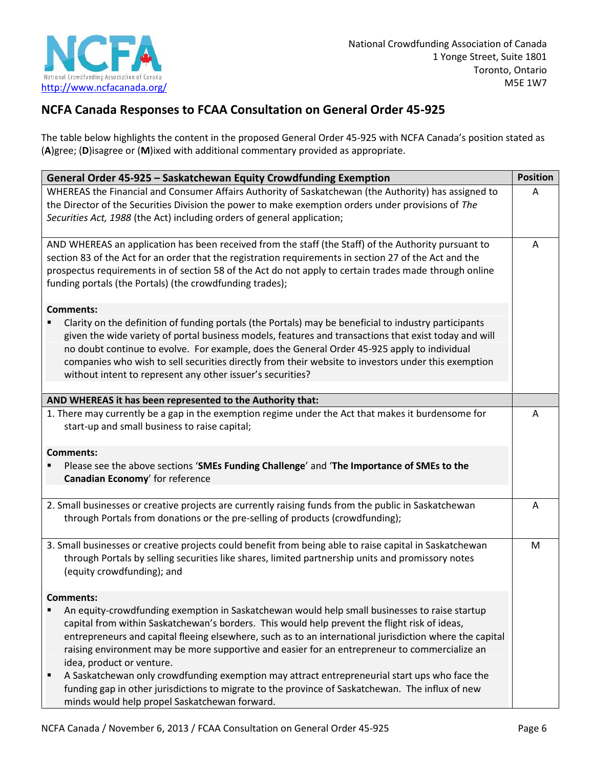

## **NCFA Canada Responses to FCAA Consultation on General Order 45-925**

The table below highlights the content in the proposed General Order 45-925 with NCFA Canada's position stated as (**A**)gree; (**D**)isagree or (**M**)ixed with additional commentary provided as appropriate.

| General Order 45-925 - Saskatchewan Equity Crowdfunding Exemption                                                                                                                                                                                                                                                                                                                                                                                                                                                                                                                                                                                                                             | <b>Position</b> |
|-----------------------------------------------------------------------------------------------------------------------------------------------------------------------------------------------------------------------------------------------------------------------------------------------------------------------------------------------------------------------------------------------------------------------------------------------------------------------------------------------------------------------------------------------------------------------------------------------------------------------------------------------------------------------------------------------|-----------------|
| WHEREAS the Financial and Consumer Affairs Authority of Saskatchewan (the Authority) has assigned to<br>the Director of the Securities Division the power to make exemption orders under provisions of The<br>Securities Act, 1988 (the Act) including orders of general application;                                                                                                                                                                                                                                                                                                                                                                                                         | A               |
| AND WHEREAS an application has been received from the staff (the Staff) of the Authority pursuant to<br>section 83 of the Act for an order that the registration requirements in section 27 of the Act and the<br>prospectus requirements in of section 58 of the Act do not apply to certain trades made through online<br>funding portals (the Portals) (the crowdfunding trades);                                                                                                                                                                                                                                                                                                          |                 |
| <b>Comments:</b><br>Clarity on the definition of funding portals (the Portals) may be beneficial to industry participants<br>given the wide variety of portal business models, features and transactions that exist today and will<br>no doubt continue to evolve. For example, does the General Order 45-925 apply to individual<br>companies who wish to sell securities directly from their website to investors under this exemption<br>without intent to represent any other issuer's securities?                                                                                                                                                                                        |                 |
| AND WHEREAS it has been represented to the Authority that:                                                                                                                                                                                                                                                                                                                                                                                                                                                                                                                                                                                                                                    |                 |
| 1. There may currently be a gap in the exemption regime under the Act that makes it burdensome for<br>start-up and small business to raise capital;                                                                                                                                                                                                                                                                                                                                                                                                                                                                                                                                           | A               |
| <b>Comments:</b><br>Please see the above sections 'SMEs Funding Challenge' and 'The Importance of SMEs to the<br>Canadian Economy' for reference                                                                                                                                                                                                                                                                                                                                                                                                                                                                                                                                              |                 |
| 2. Small businesses or creative projects are currently raising funds from the public in Saskatchewan<br>through Portals from donations or the pre-selling of products (crowdfunding);                                                                                                                                                                                                                                                                                                                                                                                                                                                                                                         | A               |
| 3. Small businesses or creative projects could benefit from being able to raise capital in Saskatchewan<br>through Portals by selling securities like shares, limited partnership units and promissory notes<br>(equity crowdfunding); and                                                                                                                                                                                                                                                                                                                                                                                                                                                    | M               |
| <b>Comments:</b>                                                                                                                                                                                                                                                                                                                                                                                                                                                                                                                                                                                                                                                                              |                 |
| An equity-crowdfunding exemption in Saskatchewan would help small businesses to raise startup<br>capital from within Saskatchewan's borders. This would help prevent the flight risk of ideas,<br>entrepreneurs and capital fleeing elsewhere, such as to an international jurisdiction where the capital<br>raising environment may be more supportive and easier for an entrepreneur to commercialize an<br>idea, product or venture.<br>A Saskatchewan only crowdfunding exemption may attract entrepreneurial start ups who face the<br>funding gap in other jurisdictions to migrate to the province of Saskatchewan. The influx of new<br>minds would help propel Saskatchewan forward. |                 |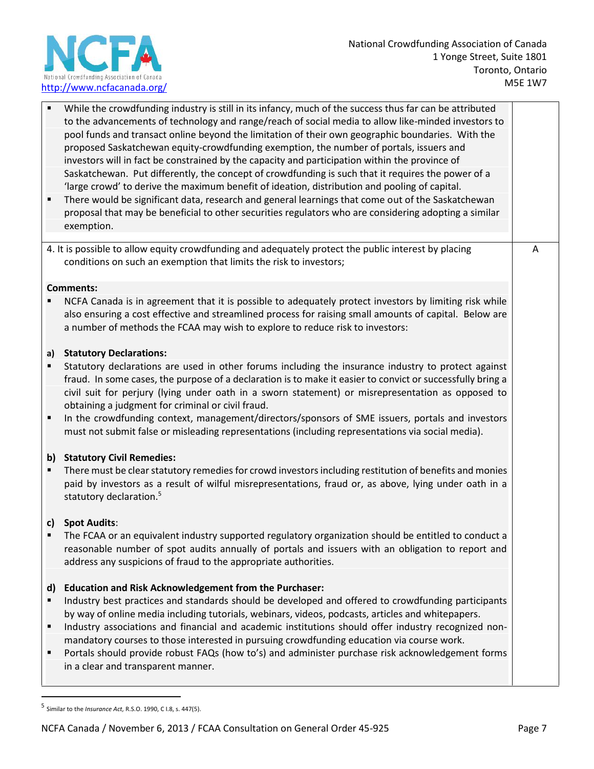

|                        | While the crowdfunding industry is still in its infancy, much of the success thus far can be attributed<br>to the advancements of technology and range/reach of social media to allow like-minded investors to<br>pool funds and transact online beyond the limitation of their own geographic boundaries. With the<br>proposed Saskatchewan equity-crowdfunding exemption, the number of portals, issuers and<br>investors will in fact be constrained by the capacity and participation within the province of<br>Saskatchewan. Put differently, the concept of crowdfunding is such that it requires the power of a<br>'large crowd' to derive the maximum benefit of ideation, distribution and pooling of capital.<br>There would be significant data, research and general learnings that come out of the Saskatchewan<br>proposal that may be beneficial to other securities regulators who are considering adopting a similar<br>exemption. |   |
|------------------------|-----------------------------------------------------------------------------------------------------------------------------------------------------------------------------------------------------------------------------------------------------------------------------------------------------------------------------------------------------------------------------------------------------------------------------------------------------------------------------------------------------------------------------------------------------------------------------------------------------------------------------------------------------------------------------------------------------------------------------------------------------------------------------------------------------------------------------------------------------------------------------------------------------------------------------------------------------|---|
|                        | 4. It is possible to allow equity crowdfunding and adequately protect the public interest by placing<br>conditions on such an exemption that limits the risk to investors;                                                                                                                                                                                                                                                                                                                                                                                                                                                                                                                                                                                                                                                                                                                                                                          | A |
|                        | <b>Comments:</b><br>NCFA Canada is in agreement that it is possible to adequately protect investors by limiting risk while<br>also ensuring a cost effective and streamlined process for raising small amounts of capital. Below are<br>a number of methods the FCAA may wish to explore to reduce risk to investors:                                                                                                                                                                                                                                                                                                                                                                                                                                                                                                                                                                                                                               |   |
| a)<br>$\blacksquare$   | <b>Statutory Declarations:</b><br>Statutory declarations are used in other forums including the insurance industry to protect against<br>fraud. In some cases, the purpose of a declaration is to make it easier to convict or successfully bring a<br>civil suit for perjury (lying under oath in a sworn statement) or misrepresentation as opposed to<br>obtaining a judgment for criminal or civil fraud.<br>In the crowdfunding context, management/directors/sponsors of SME issuers, portals and investors<br>must not submit false or misleading representations (including representations via social media).                                                                                                                                                                                                                                                                                                                              |   |
|                        | b) Statutory Civil Remedies:<br>There must be clear statutory remedies for crowd investors including restitution of benefits and monies<br>paid by investors as a result of wilful misrepresentations, fraud or, as above, lying under oath in a<br>statutory declaration. <sup>5</sup>                                                                                                                                                                                                                                                                                                                                                                                                                                                                                                                                                                                                                                                             |   |
| c)                     | <b>Spot Audits:</b><br>The FCAA or an equivalent industry supported regulatory organization should be entitled to conduct a<br>reasonable number of spot audits annually of portals and issuers with an obligation to report and<br>address any suspicions of fraud to the appropriate authorities.                                                                                                                                                                                                                                                                                                                                                                                                                                                                                                                                                                                                                                                 |   |
| $\mathsf{d}$<br>٠<br>п | <b>Education and Risk Acknowledgement from the Purchaser:</b><br>Industry best practices and standards should be developed and offered to crowdfunding participants<br>by way of online media including tutorials, webinars, videos, podcasts, articles and whitepapers.<br>Industry associations and financial and academic institutions should offer industry recognized non-<br>mandatory courses to those interested in pursuing crowdfunding education via course work.<br>Portals should provide robust FAQs (how to's) and administer purchase risk acknowledgement forms<br>in a clear and transparent manner.                                                                                                                                                                                                                                                                                                                              |   |

<sup>5</sup> Similar to the *Insurance Act,* R.S.O. 1990, C I.8, s. 447(5).

NCFA Canada / November 6, 2013 / FCAA Consultation on General Order 45-925 Page 7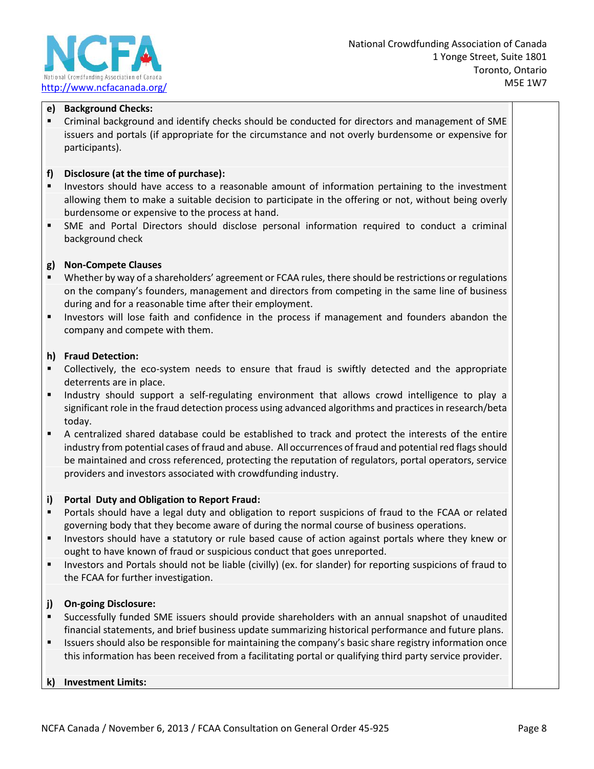

#### **e) Background Checks:**

 Criminal background and identify checks should be conducted for directors and management of SME issuers and portals (if appropriate for the circumstance and not overly burdensome or expensive for participants).

#### **f) Disclosure (at the time of purchase):**

- Investors should have access to a reasonable amount of information pertaining to the investment allowing them to make a suitable decision to participate in the offering or not, without being overly burdensome or expensive to the process at hand.
- SME and Portal Directors should disclose personal information required to conduct a criminal background check

#### **g) Non-Compete Clauses**

- Whether by way of a shareholders' agreement or FCAA rules, there should be restrictions or regulations on the company's founders, management and directors from competing in the same line of business during and for a reasonable time after their employment.
- Investors will lose faith and confidence in the process if management and founders abandon the company and compete with them.

#### **h) Fraud Detection:**

- Collectively, the eco-system needs to ensure that fraud is swiftly detected and the appropriate deterrents are in place.
- Industry should support a self-regulating environment that allows crowd intelligence to play a significant role in the fraud detection process using advanced algorithms and practices in research/beta today.
- A centralized shared database could be established to track and protect the interests of the entire industry from potential cases of fraud and abuse. All occurrences of fraud and potential red flags should be maintained and cross referenced, protecting the reputation of regulators, portal operators, service providers and investors associated with crowdfunding industry.

#### **i) Portal Duty and Obligation to Report Fraud:**

- Portals should have a legal duty and obligation to report suspicions of fraud to the FCAA or related governing body that they become aware of during the normal course of business operations.
- Investors should have a statutory or rule based cause of action against portals where they knew or ought to have known of fraud or suspicious conduct that goes unreported.
- Investors and Portals should not be liable (civilly) (ex. for slander) for reporting suspicions of fraud to the FCAA for further investigation.

#### **j) On-going Disclosure:**

- Successfully funded SME issuers should provide shareholders with an annual snapshot of unaudited financial statements, and brief business update summarizing historical performance and future plans.
- Issuers should also be responsible for maintaining the company's basic share registry information once this information has been received from a facilitating portal or qualifying third party service provider.

#### **k) Investment Limits:**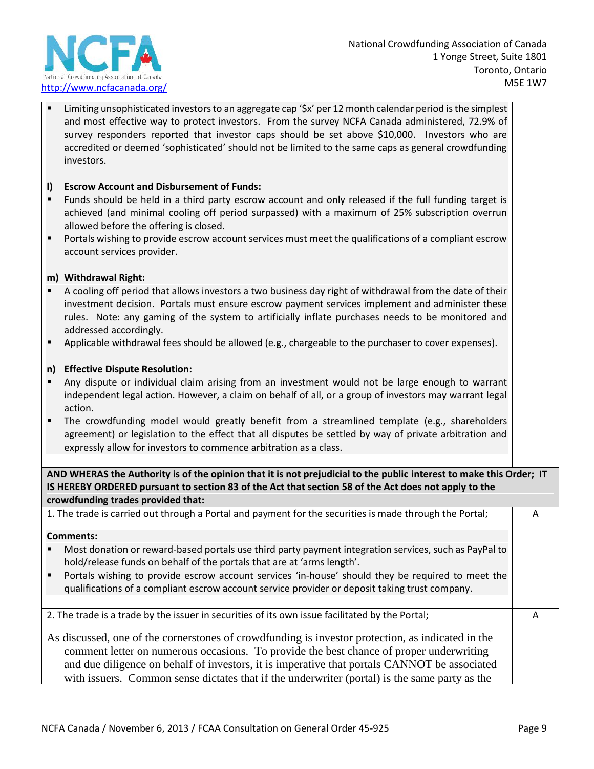

 Limiting unsophisticated investors to an aggregate cap '\$x' per 12 month calendar period is the simplest and most effective way to protect investors. From the survey NCFA Canada administered, 72.9% of survey responders reported that investor caps should be set above \$10,000. Investors who are accredited or deemed 'sophisticated' should not be limited to the same caps as general crowdfunding investors.

#### **l) Escrow Account and Disbursement of Funds:**

- Funds should be held in a third party escrow account and only released if the full funding target is achieved (and minimal cooling off period surpassed) with a maximum of 25% subscription overrun allowed before the offering is closed.
- Portals wishing to provide escrow account services must meet the qualifications of a compliant escrow account services provider.

#### **m) Withdrawal Right:**

- A cooling off period that allows investors a two business day right of withdrawal from the date of their investment decision. Portals must ensure escrow payment services implement and administer these rules. Note: any gaming of the system to artificially inflate purchases needs to be monitored and addressed accordingly.
- Applicable withdrawal fees should be allowed (e.g., chargeable to the purchaser to cover expenses).

#### **n) Effective Dispute Resolution:**

- Any dispute or individual claim arising from an investment would not be large enough to warrant independent legal action. However, a claim on behalf of all, or a group of investors may warrant legal action.
- The crowdfunding model would greatly benefit from a streamlined template (e.g., shareholders agreement) or legislation to the effect that all disputes be settled by way of private arbitration and expressly allow for investors to commence arbitration as a class.

**AND WHERAS the Authority is of the opinion that it is not prejudicial to the public interest to make this Order; IT IS HEREBY ORDERED pursuant to section 83 of the Act that section 58 of the Act does not apply to the crowdfunding trades provided that:**

1. The trade is carried out through a Portal and payment for the securities is made through the Portal;

#### **Comments:**

- Most donation or reward-based portals use third party payment integration services, such as PayPal to hold/release funds on behalf of the portals that are at 'arms length'.
- Portals wishing to provide escrow account services 'in-house' should they be required to meet the qualifications of a compliant escrow account service provider or deposit taking trust company.

2. The trade is a trade by the issuer in securities of its own issue facilitated by the Portal;

As discussed, one of the cornerstones of crowdfunding is investor protection, as indicated in the comment letter on numerous occasions. To provide the best chance of proper underwriting and due diligence on behalf of investors, it is imperative that portals CANNOT be associated with issuers. Common sense dictates that if the underwriter (portal) is the same party as the

A

A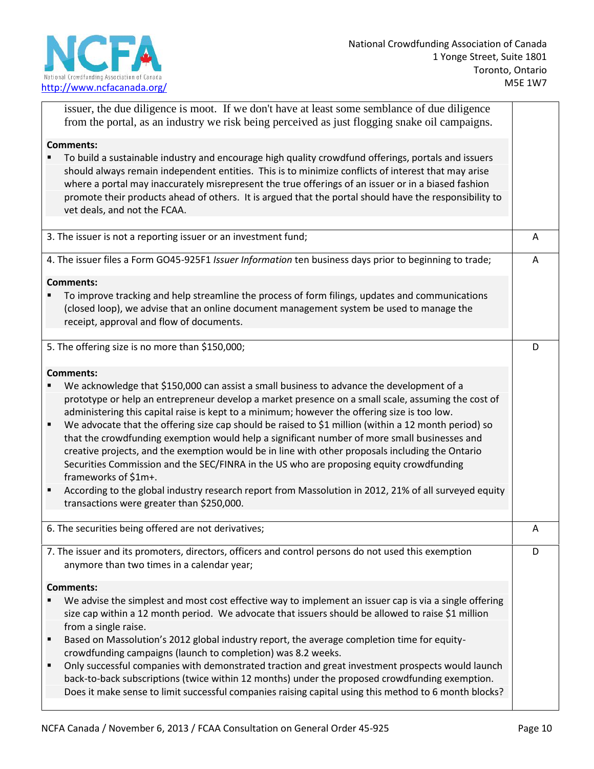

|                                  | issuer, the due diligence is moot. If we don't have at least some semblance of due diligence<br>from the portal, as an industry we risk being perceived as just flogging snake oil campaigns.                                                                                                                                                                                                                                                                                                                                                                                                                                                                                                                                                                                                                                                                                        |   |
|----------------------------------|--------------------------------------------------------------------------------------------------------------------------------------------------------------------------------------------------------------------------------------------------------------------------------------------------------------------------------------------------------------------------------------------------------------------------------------------------------------------------------------------------------------------------------------------------------------------------------------------------------------------------------------------------------------------------------------------------------------------------------------------------------------------------------------------------------------------------------------------------------------------------------------|---|
|                                  | <b>Comments:</b>                                                                                                                                                                                                                                                                                                                                                                                                                                                                                                                                                                                                                                                                                                                                                                                                                                                                     |   |
|                                  | To build a sustainable industry and encourage high quality crowdfund offerings, portals and issuers<br>should always remain independent entities. This is to minimize conflicts of interest that may arise<br>where a portal may inaccurately misrepresent the true offerings of an issuer or in a biased fashion<br>promote their products ahead of others. It is argued that the portal should have the responsibility to<br>vet deals, and not the FCAA.                                                                                                                                                                                                                                                                                                                                                                                                                          |   |
|                                  | 3. The issuer is not a reporting issuer or an investment fund;                                                                                                                                                                                                                                                                                                                                                                                                                                                                                                                                                                                                                                                                                                                                                                                                                       | Α |
|                                  | 4. The issuer files a Form GO45-925F1 Issuer Information ten business days prior to beginning to trade;                                                                                                                                                                                                                                                                                                                                                                                                                                                                                                                                                                                                                                                                                                                                                                              | Α |
|                                  | <b>Comments:</b><br>To improve tracking and help streamline the process of form filings, updates and communications<br>(closed loop), we advise that an online document management system be used to manage the<br>receipt, approval and flow of documents.                                                                                                                                                                                                                                                                                                                                                                                                                                                                                                                                                                                                                          |   |
|                                  | 5. The offering size is no more than \$150,000;                                                                                                                                                                                                                                                                                                                                                                                                                                                                                                                                                                                                                                                                                                                                                                                                                                      | D |
|                                  | <b>Comments:</b>                                                                                                                                                                                                                                                                                                                                                                                                                                                                                                                                                                                                                                                                                                                                                                                                                                                                     |   |
| $\blacksquare$<br>$\blacksquare$ | We acknowledge that \$150,000 can assist a small business to advance the development of a<br>prototype or help an entrepreneur develop a market presence on a small scale, assuming the cost of<br>administering this capital raise is kept to a minimum; however the offering size is too low.<br>We advocate that the offering size cap should be raised to \$1 million (within a 12 month period) so<br>that the crowdfunding exemption would help a significant number of more small businesses and<br>creative projects, and the exemption would be in line with other proposals including the Ontario<br>Securities Commission and the SEC/FINRA in the US who are proposing equity crowdfunding<br>frameworks of \$1m+.<br>According to the global industry research report from Massolution in 2012, 21% of all surveyed equity<br>transactions were greater than \$250,000. |   |
|                                  | 6. The securities being offered are not derivatives;                                                                                                                                                                                                                                                                                                                                                                                                                                                                                                                                                                                                                                                                                                                                                                                                                                 | Α |
|                                  | 7. The issuer and its promoters, directors, officers and control persons do not used this exemption<br>anymore than two times in a calendar year;                                                                                                                                                                                                                                                                                                                                                                                                                                                                                                                                                                                                                                                                                                                                    | D |
| п                                | <b>Comments:</b><br>We advise the simplest and most cost effective way to implement an issuer cap is via a single offering<br>size cap within a 12 month period. We advocate that issuers should be allowed to raise \$1 million<br>from a single raise.<br>Based on Massolution's 2012 global industry report, the average completion time for equity-<br>crowdfunding campaigns (launch to completion) was 8.2 weeks.<br>Only successful companies with demonstrated traction and great investment prospects would launch<br>back-to-back subscriptions (twice within 12 months) under the proposed crowdfunding exemption.<br>Does it make sense to limit successful companies raising capital using this method to 6 month blocks?                                                                                                                                               |   |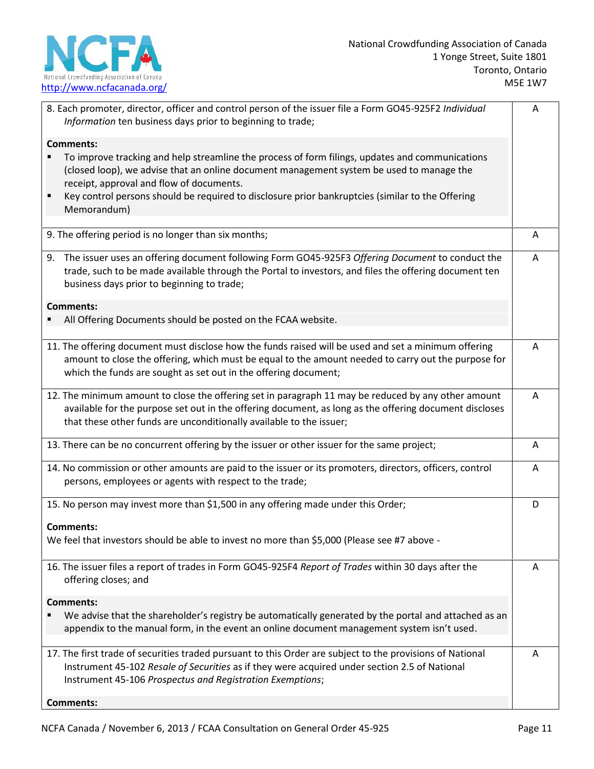

Ē

| 8. Each promoter, director, officer and control person of the issuer file a Form GO45-925F2 Individual<br>Information ten business days prior to beginning to trade;                                                                                                                                                                                                                | Α |
|-------------------------------------------------------------------------------------------------------------------------------------------------------------------------------------------------------------------------------------------------------------------------------------------------------------------------------------------------------------------------------------|---|
| <b>Comments:</b><br>To improve tracking and help streamline the process of form filings, updates and communications<br>(closed loop), we advise that an online document management system be used to manage the<br>receipt, approval and flow of documents.<br>Key control persons should be required to disclosure prior bankruptcies (similar to the Offering<br>٠<br>Memorandum) |   |
| 9. The offering period is no longer than six months;                                                                                                                                                                                                                                                                                                                                | Α |
| 9. The issuer uses an offering document following Form GO45-925F3 Offering Document to conduct the<br>trade, such to be made available through the Portal to investors, and files the offering document ten<br>business days prior to beginning to trade;                                                                                                                           | A |
| <b>Comments:</b><br>All Offering Documents should be posted on the FCAA website.                                                                                                                                                                                                                                                                                                    |   |
| 11. The offering document must disclose how the funds raised will be used and set a minimum offering<br>amount to close the offering, which must be equal to the amount needed to carry out the purpose for<br>which the funds are sought as set out in the offering document;                                                                                                      | A |
| 12. The minimum amount to close the offering set in paragraph 11 may be reduced by any other amount<br>available for the purpose set out in the offering document, as long as the offering document discloses<br>that these other funds are unconditionally available to the issuer;                                                                                                | Α |
| 13. There can be no concurrent offering by the issuer or other issuer for the same project;                                                                                                                                                                                                                                                                                         | A |
| 14. No commission or other amounts are paid to the issuer or its promoters, directors, officers, control<br>persons, employees or agents with respect to the trade;                                                                                                                                                                                                                 | A |
| 15. No person may invest more than \$1,500 in any offering made under this Order;                                                                                                                                                                                                                                                                                                   | D |
| <b>Comments:</b><br>We feel that investors should be able to invest no more than \$5,000 (Please see #7 above -                                                                                                                                                                                                                                                                     |   |
| 16. The issuer files a report of trades in Form GO45-925F4 Report of Trades within 30 days after the<br>offering closes; and                                                                                                                                                                                                                                                        | A |
| <b>Comments:</b>                                                                                                                                                                                                                                                                                                                                                                    |   |
| We advise that the shareholder's registry be automatically generated by the portal and attached as an<br>appendix to the manual form, in the event an online document management system isn't used.                                                                                                                                                                                 |   |
| 17. The first trade of securities traded pursuant to this Order are subject to the provisions of National<br>Instrument 45-102 Resale of Securities as if they were acquired under section 2.5 of National<br>Instrument 45-106 Prospectus and Registration Exemptions;                                                                                                             | Α |
| <b>Comments:</b>                                                                                                                                                                                                                                                                                                                                                                    |   |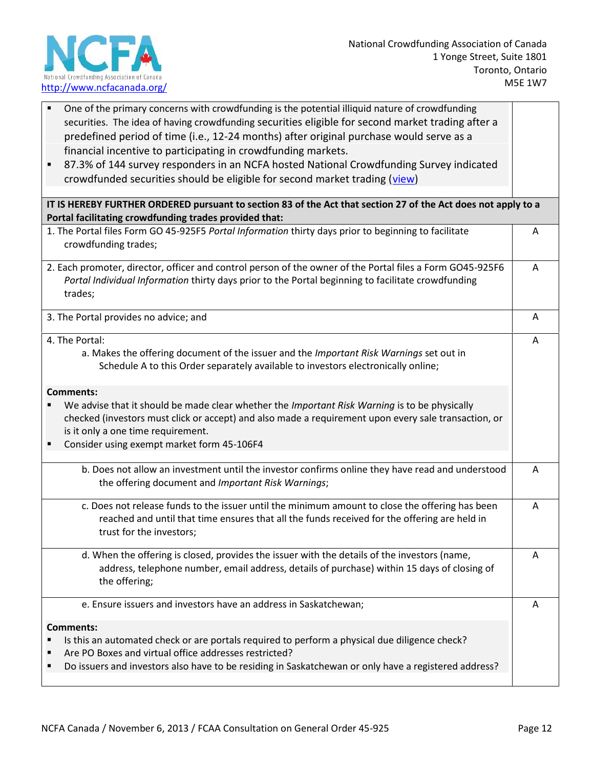

 $\overline{\Gamma}$ 

| One of the primary concerns with crowdfunding is the potential illiquid nature of crowdfunding<br>securities. The idea of having crowdfunding securities eligible for second market trading after a<br>predefined period of time (i.e., 12-24 months) after original purchase would serve as a<br>financial incentive to participating in crowdfunding markets. |   |
|-----------------------------------------------------------------------------------------------------------------------------------------------------------------------------------------------------------------------------------------------------------------------------------------------------------------------------------------------------------------|---|
| 87.3% of 144 survey responders in an NCFA hosted National Crowdfunding Survey indicated<br>crowdfunded securities should be eligible for second market trading (view)                                                                                                                                                                                           |   |
| IT IS HEREBY FURTHER ORDERED pursuant to section 83 of the Act that section 27 of the Act does not apply to a<br>Portal facilitating crowdfunding trades provided that:                                                                                                                                                                                         |   |
| 1. The Portal files Form GO 45-925F5 Portal Information thirty days prior to beginning to facilitate<br>crowdfunding trades;                                                                                                                                                                                                                                    | A |
| 2. Each promoter, director, officer and control person of the owner of the Portal files a Form GO45-925F6<br>Portal Individual Information thirty days prior to the Portal beginning to facilitate crowdfunding<br>trades;                                                                                                                                      | A |
| 3. The Portal provides no advice; and                                                                                                                                                                                                                                                                                                                           | Α |
| 4. The Portal:<br>a. Makes the offering document of the issuer and the Important Risk Warnings set out in<br>Schedule A to this Order separately available to investors electronically online;                                                                                                                                                                  | Α |
| <b>Comments:</b><br>We advise that it should be made clear whether the Important Risk Warning is to be physically<br>checked (investors must click or accept) and also made a requirement upon every sale transaction, or<br>is it only a one time requirement.<br>Consider using exempt market form 45-106F4                                                   |   |
| b. Does not allow an investment until the investor confirms online they have read and understood<br>the offering document and Important Risk Warnings;                                                                                                                                                                                                          | Α |
| c. Does not release funds to the issuer until the minimum amount to close the offering has been<br>reached and until that time ensures that all the funds received for the offering are held in<br>trust for the investors;                                                                                                                                     | A |
| d. When the offering is closed, provides the issuer with the details of the investors (name,<br>address, telephone number, email address, details of purchase) within 15 days of closing of<br>the offering;                                                                                                                                                    | A |
| e. Ensure issuers and investors have an address in Saskatchewan;                                                                                                                                                                                                                                                                                                | A |
| <b>Comments:</b><br>Is this an automated check or are portals required to perform a physical due diligence check?<br>Are PO Boxes and virtual office addresses restricted?<br>Do issuers and investors also have to be residing in Saskatchewan or only have a registered address?                                                                              |   |